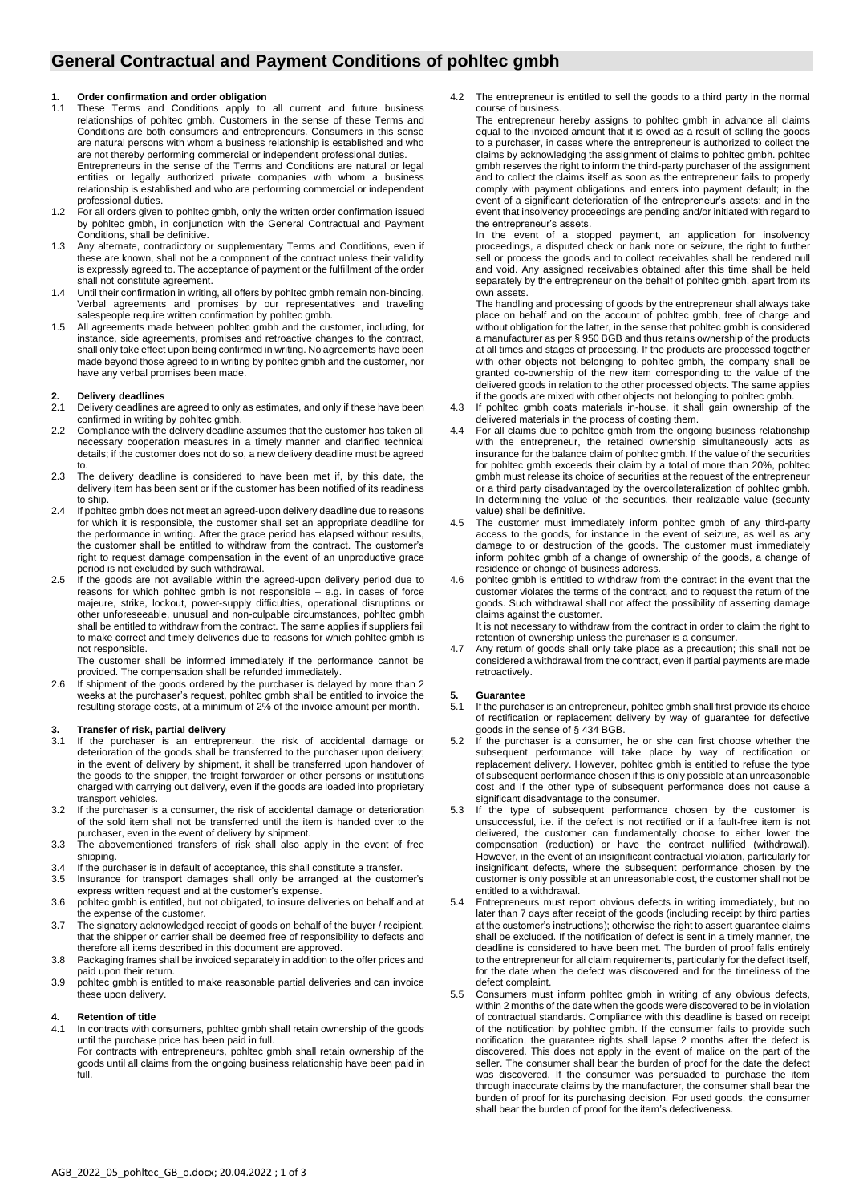## **General Contractual and Payment Conditions of pohltec gmbh**

## **1. Order confirmation and order obligation**

- 1.1 These Terms and Conditions apply to all current and future business relationships of pohltec gmbh. Customers in the sense of these Terms and Conditions are both consumers and entrepreneurs. Consumers in this sense are natural persons with whom a business relationship is established and who are not thereby performing commercial or independent professional duties. Entrepreneurs in the sense of the Terms and Conditions are natural or legal entities or legally authorized private companies with whom a business relationship is established and who are performing commercial or independent professional duties.
- 1.2 For all orders given to pohltec gmbh, only the written order confirmation issued by pohltec gmbh, in conjunction with the General Contractual and Payment Conditions, shall be definitive.
- 1.3 Any alternate, contradictory or supplementary Terms and Conditions, even if these are known, shall not be a component of the contract unless their validity is expressly agreed to. The acceptance of payment or the fulfillment of the order shall not constitute agreement.
- 1.4 Until their confirmation in writing, all offers by pohltec gmbh remain non-binding. Verbal agreements and promises by our representatives and traveling salespeople require written confirmation by pohltec gmbh.
- 1.5 All agreements made between pohltec gmbh and the customer, including, for instance, side agreements, promises and retroactive changes to the contract, shall only take effect upon being confirmed in writing. No agreements have been made beyond those agreed to in writing by pohltec gmbh and the customer, nor have any verbal promises been made.

## **2. Delivery deadlines**

- 2.1 Delivery deadlines are agreed to only as estimates, and only if these have been confirmed in writing by pohltec gmbh.
- 2.2 Compliance with the delivery deadline assumes that the customer has taken all necessary cooperation measures in a timely manner and clarified technical details; if the customer does not do so, a new delivery deadline must be agreed to.
- 2.3 The delivery deadline is considered to have been met if, by this date, the delivery item has been sent or if the customer has been notified of its readiness to ship.
- 2.4 If pohitec ambh does not meet an agreed-upon delivery deadline due to reasons for which it is responsible, the customer shall set an appropriate deadline for the performance in writing. After the grace period has elapsed without results, the customer shall be entitled to withdraw from the contract. The customer's right to request damage compensation in the event of an unproductive grace period is not excluded by such withdrawal.
- 2.5 If the goods are not available within the agreed-upon delivery period due to reasons for which pohltec gmbh is not responsible – e.g. in cases of force majeure, strike, lockout, power-supply difficulties, operational disruptions or other unforeseeable, unusual and non-culpable circumstances, pohltec gmbh shall be entitled to withdraw from the contract. The same applies if suppliers fail to make correct and timely deliveries due to reasons for which pohltec gmbh is not responsible.

The customer shall be informed immediately if the performance cannot be provided. The compensation shall be refunded immediately.

2.6 If shipment of the goods ordered by the purchaser is delayed by more than 2 weeks at the purchaser's request, pohltec gmbh shall be entitled to invoice the resulting storage costs, at a minimum of 2% of the invoice amount per month.

## **3. Transfer of risk, partial delivery**

- If the purchaser is an entrepreneur, the risk of accidental damage or deterioration of the goods shall be transferred to the purchaser upon delivery; in the event of delivery by shipment, it shall be transferred upon handover of the goods to the shipper, the freight forwarder or other persons or institutions charged with carrying out delivery, even if the goods are loaded into proprietary transport vehicles.
- 3.2 If the purchaser is a consumer, the risk of accidental damage or deterioration of the sold item shall not be transferred until the item is handed over to the purchaser, even in the event of delivery by shipment.
- 3.3 The abovementioned transfers of risk shall also apply in the event of free shipping.
- 3.4 If the purchaser is in default of acceptance, this shall constitute a transfer.
- 3.5 Insurance for transport damages shall only be arranged at the customer's express written request and at the customer's expense.
- 3.6 pohltec gmbh is entitled, but not obligated, to insure deliveries on behalf and at the expense of the customer.
- 3.7 The signatory acknowledged receipt of goods on behalf of the buyer / recipient, that the shipper or carrier shall be deemed free of responsibility to defects and therefore all items described in this document are approved.
- 3.8 Packaging frames shall be invoiced separately in addition to the offer prices and paid upon their return.
- 3.9 pohltec gmbh is entitled to make reasonable partial deliveries and can invoice these upon delivery.

### **4. Retention of title**

- 4.1 In contracts with consumers, pohltec gmbh shall retain ownership of the goods until the purchase price has been paid in full. For contracts with entrepreneurs, pohltec gmbh shall retain ownership of the
	- goods until all claims from the ongoing business relationship have been paid in full.

4.2 The entrepreneur is entitled to sell the goods to a third party in the normal course of business.

The entrepreneur hereby assigns to pohltec gmbh in advance all claims equal to the invoiced amount that it is owed as a result of selling the goods to a purchaser, in cases where the entrepreneur is authorized to collect the claims by acknowledging the assignment of claims to pohltec gmbh. pohltec gmbh reserves the right to inform the third-party purchaser of the assignment and to collect the claims itself as soon as the entrepreneur fails to properly comply with payment obligations and enters into payment default; in the event of a significant deterioration of the entrepreneur's assets; and in the event that insolvency proceedings are pending and/or initiated with regard to the entrepreneur's assets.

In the event of a stopped payment, an application for insolvency proceedings, a disputed check or bank note or seizure, the right to further sell or process the goods and to collect receivables shall be rendered null and void. Any assigned receivables obtained after this time shall be held separately by the entrepreneur on the behalf of pohltec gmbh, apart from its own assets.

The handling and processing of goods by the entrepreneur shall always take place on behalf and on the account of pohltec gmbh, free of charge and without obligation for the latter, in the sense that pohltec gmbh is considered a manufacturer as per § 950 BGB and thus retains ownership of the products at all times and stages of processing. If the products are processed together with other objects not belonging to pohltec gmbh, the company shall be granted co-ownership of the new item corresponding to the value of the delivered goods in relation to the other processed objects. The same applies if the goods are mixed with other objects not belonging to pohltec gmbh.

- 4.3 If pohltec gmbh coats materials in-house, it shall gain ownership of the delivered materials in the process of coating them.
- 4.4 For all claims due to pohltec gmbh from the ongoing business relationship with the entrepreneur, the retained ownership simultaneously acts as insurance for the balance claim of pohltec gmbh. If the value of the securities for pohltec gmbh exceeds their claim by a total of more than 20%, pohltec gmbh must release its choice of securities at the request of the entrepreneur or a third party disadvantaged by the overcollateralization of pohltec gmbh. In determining the value of the securities, their realizable value (security value) shall be definitive.
- 4.5 The customer must immediately inform pohltec gmbh of any third-party access to the goods, for instance in the event of seizure, as well as any damage to or destruction of the goods. The customer must immediately inform pohltec gmbh of a change of ownership of the goods, a change of residence or change of business address.
- 4.6 pohltec gmbh is entitled to withdraw from the contract in the event that the customer violates the terms of the contract, and to request the return of the goods. Such withdrawal shall not affect the possibility of asserting damage claims against the customer. It is not necessary to withdraw from the contract in order to claim the right to

retention of ownership unless the purchaser is a consumer.

4.7 Any return of goods shall only take place as a precaution; this shall not be considered a withdrawal from the contract, even if partial payments are made retroactively.

### **5. Guarantee**

- 5.1 If the purchaser is an entrepreneur, pohltec gmbh shall first provide its choice of rectification or replacement delivery by way of guarantee for defective goods in the sense of § 434 BGB.
- 5.2 If the purchaser is a consumer, he or she can first choose whether the subsequent performance will take place by way of rectification or replacement delivery. However, pohltec gmbh is entitled to refuse the type of subsequent performance chosen if this is only possible at an unreasonable cost and if the other type of subsequent performance does not cause a significant disadvantage to the consumer.
- 5.3 If the type of subsequent performance chosen by the customer is unsuccessful, i.e. if the defect is not rectified or if a fault-free item is not delivered, the customer can fundamentally choose to either lower the compensation (reduction) or have the contract nullified (withdrawal). However, in the event of an insignificant contractual violation, particularly for insignificant defects, where the subsequent performance chosen by the customer is only possible at an unreasonable cost, the customer shall not be entitled to a withdrawal.
- 5.4 Entrepreneurs must report obvious defects in writing immediately, but no later than 7 days after receipt of the goods (including receipt by third parties at the customer's instructions); otherwise the right to assert guarantee claims shall be excluded. If the notification of defect is sent in a timely manner, the deadline is considered to have been met. The burden of proof falls entirely to the entrepreneur for all claim requirements, particularly for the defect itself, for the date when the defect was discovered and for the timeliness of the defect complaint.
- 5.5 Consumers must inform pohltec gmbh in writing of any obvious defects, within 2 months of the date when the goods were discovered to be in violation of contractual standards. Compliance with this deadline is based on receipt of the notification by pohltec gmbh. If the consumer fails to provide such notification, the guarantee rights shall lapse 2 months after the defect is discovered. This does not apply in the event of malice on the part of the seller. The consumer shall bear the burden of proof for the date the defect was discovered. If the consumer was persuaded to purchase the item through inaccurate claims by the manufacturer, the consumer shall bear the burden of proof for its purchasing decision. For used goods, the consumer shall bear the burden of proof for the item's defectiveness.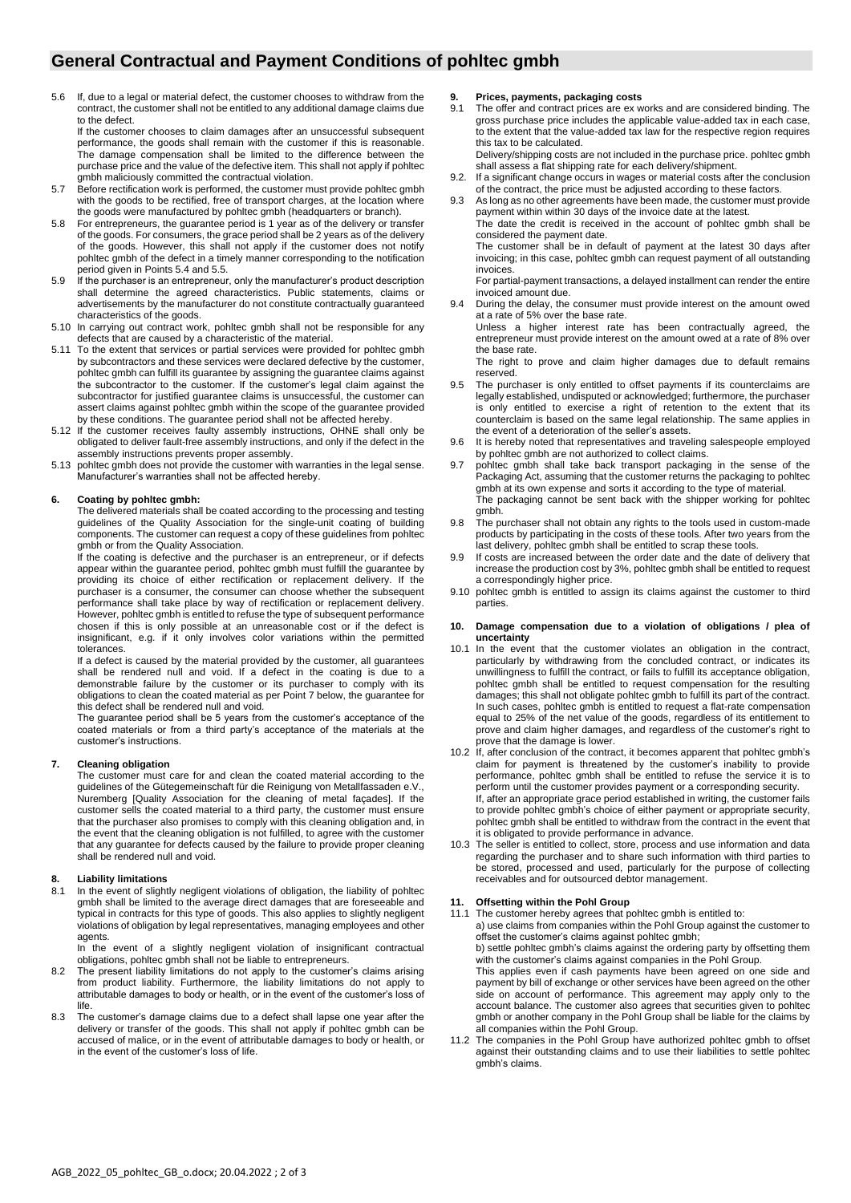## **General Contractual and Payment Conditions of pohltec gmbh**

5.6 If, due to a legal or material defect, the customer chooses to withdraw from the contract, the customer shall not be entitled to any additional damage claims due to the defect.

If the customer chooses to claim damages after an unsuccessful subsequent performance, the goods shall remain with the customer if this is reasonable. The damage compensation shall be limited to the difference between the purchase price and the value of the defective item. This shall not apply if pohltec gmbh maliciously committed the contractual violation.

- 5.7 Before rectification work is performed, the customer must provide pohltec gmbh with the goods to be rectified, free of transport charges, at the location where the goods were manufactured by pohltec gmbh (headquarters or branch).
- 5.8 For entrepreneurs, the guarantee period is 1 year as of the delivery or transfer of the goods. For consumers, the grace period shall be 2 years as of the delivery of the goods. However, this shall not apply if the customer does not notify pohltec gmbh of the defect in a timely manner corresponding to the notification period given in Points 5.4 and 5.5.
- 5.9 If the purchaser is an entrepreneur, only the manufacturer's product description shall determine the agreed characteristics. Public statements, claims or advertisements by the manufacturer do not constitute contractually guaranteed characteristics of the goods.
- 5.10 In carrying out contract work, pohltec gmbh shall not be responsible for any defects that are caused by a characteristic of the material.
- 5.11 To the extent that services or partial services were provided for pohltec gmbh by subcontractors and these services were declared defective by the customer, pohltec gmbh can fulfill its guarantee by assigning the guarantee claims against the subcontractor to the customer. If the customer's legal claim against the subcontractor for justified guarantee claims is unsuccessful, the customer can assert claims against pohltec gmbh within the scope of the guarantee provided by these conditions. The guarantee period shall not be affected hereby.
- 5.12 If the customer receives faulty assembly instructions, OHNE shall only be obligated to deliver fault-free assembly instructions, and only if the defect in the assembly instructions prevents proper assembly.
- 5.13 pohltec gmbh does not provide the customer with warranties in the legal sense. Manufacturer's warranties shall not be affected hereby.

## **6. Coating by pohltec gmbh:**

The delivered materials shall be coated according to the processing and testing guidelines of the Quality Association for the single-unit coating of building components. The customer can request a copy of these guidelines from pohltec gmbh or from the Quality Association.

If the coating is defective and the purchaser is an entrepreneur, or if defects appear within the guarantee period, pohltec gmbh must fulfill the guarantee by providing its choice of either rectification or replacement delivery. If the purchaser is a consumer, the consumer can choose whether the subsequent performance shall take place by way of rectification or replacement delivery. However, pohltec gmbh is entitled to refuse the type of subsequent performance chosen if this is only possible at an unreasonable cost or if the defect is insignificant, e.g. if it only involves color variations within the permitted tolerances.

If a defect is caused by the material provided by the customer, all guarantees shall be rendered null and void. If a defect in the coating is due to a demonstrable failure by the customer or its purchaser to comply with its obligations to clean the coated material as per Point 7 below, the guarantee for this defect shall be rendered null and void.

The guarantee period shall be 5 years from the customer's acceptance of the coated materials or from a third party's acceptance of the materials at the customer's instructions.

### **7. Cleaning obligation**

The customer must care for and clean the coated material according to the guidelines of the Gütegemeinschaft für die Reinigung von Metallfassaden e.V., Nuremberg [Quality Association for the cleaning of metal façades]. If the customer sells the coated material to a third party, the customer must ensure that the purchaser also promises to comply with this cleaning obligation and, in the event that the cleaning obligation is not fulfilled, to agree with the customer that any guarantee for defects caused by the failure to provide proper cleaning shall be rendered null and void.

#### **8. Liability limitations**

8.1 In the event of slightly negligent violations of obligation, the liability of pohltec gmbh shall be limited to the average direct damages that are foreseeable and typical in contracts for this type of goods. This also applies to slightly negligent violations of obligation by legal representatives, managing employees and other agents.

In the event of a slightly negligent violation of insignificant contractual obligations, pohltec gmbh shall not be liable to entrepreneurs.

- 8.2 The present liability limitations do not apply to the customer's claims arising from product liability. Furthermore, the liability limitations do not apply to attributable damages to body or health, or in the event of the customer's loss of life.
- 8.3 The customer's damage claims due to a defect shall lapse one year after the delivery or transfer of the goods. This shall not apply if pohltec gmbh can be accused of malice, or in the event of attributable damages to body or health, or in the event of the customer's loss of life.

#### **9. Prices, payments, packaging costs**

9.1 The offer and contract prices are ex works and are considered binding. The gross purchase price includes the applicable value-added tax in each case, to the extent that the value-added tax law for the respective region requires this tax to be calculated.

Delivery/shipping costs are not included in the purchase price. pohltec gmbh shall assess a flat shipping rate for each delivery/shipment.

- 9.2. If a significant change occurs in wages or material costs after the conclusion of the contract, the price must be adjusted according to these factors.
- As long as no other agreements have been made, the customer must provide payment within within 30 days of the invoice date at the latest. The date the credit is received in the account of pohltec gmbh shall be considered the payment date.

The customer shall be in default of payment at the latest 30 days after invoicing; in this case, pohltec gmbh can request payment of all outstanding invoices.

For partial-payment transactions, a delayed installment can render the entire invoiced amount due.

During the delay, the consumer must provide interest on the amount owed at a rate of 5% over the base rate.

Unless a higher interest rate has been contractually agreed, the entrepreneur must provide interest on the amount owed at a rate of 8% over the base rate.

The right to prove and claim higher damages due to default remains reserved.

- 9.5 The purchaser is only entitled to offset payments if its counterclaims are legally established, undisputed or acknowledged; furthermore, the purchaser is only entitled to exercise a right of retention to the extent that its counterclaim is based on the same legal relationship. The same applies in the event of a deterioration of the seller's assets.
- 9.6 It is hereby noted that representatives and traveling salespeople employed by pohltec gmbh are not authorized to collect claims.
- 9.7 pohltec gmbh shall take back transport packaging in the sense of the Packaging Act, assuming that the customer returns the packaging to pohltec gmbh at its own expense and sorts it according to the type of material. The packaging cannot be sent back with the shipper working for pohltec gmbh.
- 9.8 The purchaser shall not obtain any rights to the tools used in custom-made products by participating in the costs of these tools. After two years from the last delivery, pohltec gmbh shall be entitled to scrap these tools.
- If costs are increased between the order date and the date of delivery that increase the production cost by 3%, pohltec gmbh shall be entitled to request a correspondingly higher price.
- 9.10 pohltec gmbh is entitled to assign its claims against the customer to third parties.

#### **10. Damage compensation due to a violation of obligations / plea of uncertainty**

- 10.1 In the event that the customer violates an obligation in the contract, particularly by withdrawing from the concluded contract, or indicates its unwillingness to fulfill the contract, or fails to fulfill its acceptance obligation, pohltec gmbh shall be entitled to request compensation for the resulting damages; this shall not obligate pohltec gmbh to fulfill its part of the contract. In such cases, pohltec gmbh is entitled to request a flat-rate compensation equal to 25% of the net value of the goods, regardless of its entitlement to prove and claim higher damages, and regardless of the customer's right to prove that the damage is lower.
- 10.2 If, after conclusion of the contract, it becomes apparent that pohltec gmbh's claim for payment is threatened by the customer's inability to provide performance, pohltec gmbh shall be entitled to refuse the service it is to perform until the customer provides payment or a corresponding security. If, after an appropriate grace period established in writing, the customer fails to provide pohltec gmbh's choice of either payment or appropriate security, pohltec gmbh shall be entitled to withdraw from the contract in the event that it is obligated to provide performance in advance.
- 10.3 The seller is entitled to collect, store, process and use information and data regarding the purchaser and to share such information with third parties to be stored, processed and used, particularly for the purpose of collecting receivables and for outsourced debtor management.

# **11. Offsetting within the Pohl Group**

- The customer hereby agrees that pohltec gmbh is entitled to: a) use claims from companies within the Pohl Group against the customer to offset the customer's claims against pohltec gmbh; b) settle pohltec gmbh's claims against the ordering party by offsetting them with the customer's claims against companies in the Pohl Group. This applies even if cash payments have been agreed on one side and payment by bill of exchange or other services have been agreed on the other side on account of performance. This agreement may apply only to the account balance. The customer also agrees that securities given to pohltec gmbh or another company in the Pohl Group shall be liable for the claims by
- all companies within the Pohl Group. 11.2 The companies in the Pohl Group have authorized pohltec gmbh to offset against their outstanding claims and to use their liabilities to settle pohltec gmbh's claims.